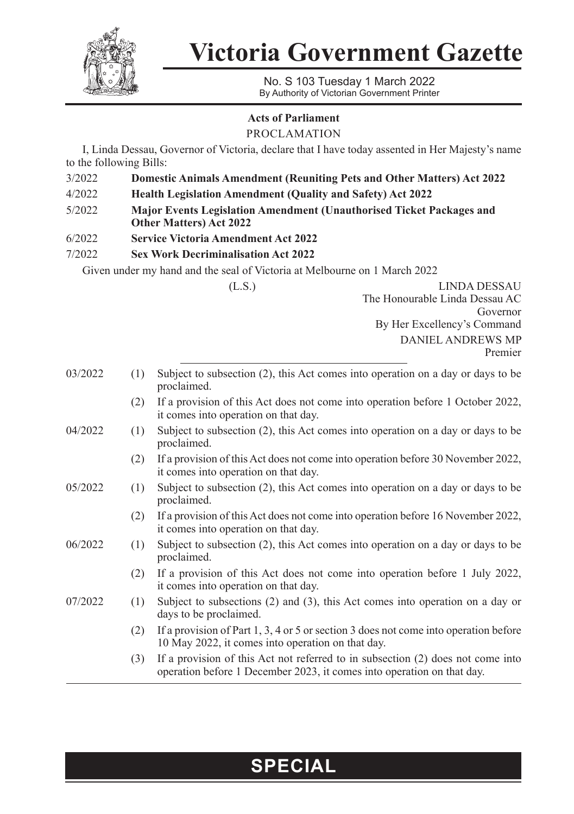

**Victoria Government Gazette**

No. S 103 Tuesday 1 March 2022 By Authority of Victorian Government Printer

## **Acts of Parliament**

PROCLAMATION

I, Linda Dessau, Governor of Victoria, declare that I have today assented in Her Majesty's name to the following Bills:

- 3/2022 **Domestic Animals Amendment (Reuniting Pets and Other Matters) Act 2022**
- 4/2022 **Health Legislation Amendment (Quality and Safety) Act 2022**
- 5/2022 **Major Events Legislation Amendment (Unauthorised Ticket Packages and Other Matters) Act 2022**
- 6/2022 **Service Victoria Amendment Act 2022**
- 7/2022 **Sex Work Decriminalisation Act 2022**

Given under my hand and the seal of Victoria at Melbourne on 1 March 2022

(L.S.) LINDA DESSAU The Honourable Linda Dessau AC Governor By Her Excellency's Command DANIEL ANDREWS MP Premier

| 03/2022 | (1) | Subject to subsection (2), this Act comes into operation on a day or days to be<br>proclaimed.                                                            |
|---------|-----|-----------------------------------------------------------------------------------------------------------------------------------------------------------|
|         | (2) | If a provision of this Act does not come into operation before 1 October 2022,<br>it comes into operation on that day.                                    |
| 04/2022 | (1) | Subject to subsection (2), this Act comes into operation on a day or days to be<br>proclaimed.                                                            |
|         | (2) | If a provision of this Act does not come into operation before 30 November 2022,<br>it comes into operation on that day.                                  |
| 05/2022 | (1) | Subject to subsection (2), this Act comes into operation on a day or days to be<br>proclaimed.                                                            |
|         | (2) | If a provision of this Act does not come into operation before 16 November 2022,<br>it comes into operation on that day.                                  |
| 06/2022 | (1) | Subject to subsection (2), this Act comes into operation on a day or days to be<br>proclaimed.                                                            |
|         | (2) | If a provision of this Act does not come into operation before 1 July 2022,<br>it comes into operation on that day.                                       |
| 07/2022 | (1) | Subject to subsections $(2)$ and $(3)$ , this Act comes into operation on a day or<br>days to be proclaimed.                                              |
|         | (2) | If a provision of Part 1, 3, 4 or 5 or section 3 does not come into operation before<br>10 May 2022, it comes into operation on that day.                 |
|         | (3) | If a provision of this Act not referred to in subsection (2) does not come into<br>operation before 1 December 2023, it comes into operation on that day. |

## **SPECIAL**